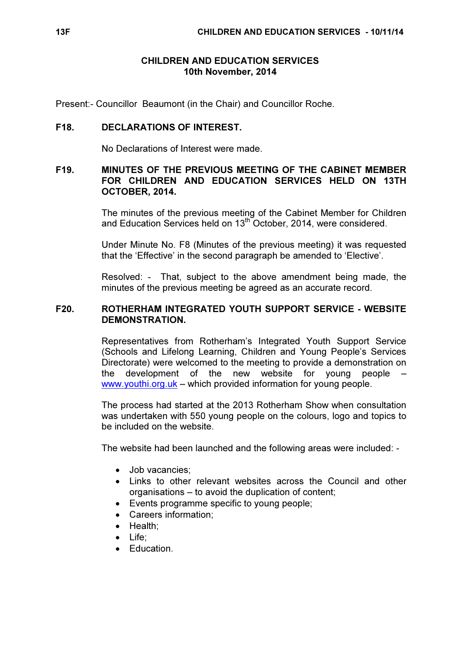## CHILDREN AND EDUCATION SERVICES 10th November, 2014

Present:- Councillor Beaumont (in the Chair) and Councillor Roche.

## F18. DECLARATIONS OF INTEREST.

No Declarations of Interest were made.

### F19. MINUTES OF THE PREVIOUS MEETING OF THE CABINET MEMBER FOR CHILDREN AND EDUCATION SERVICES HELD ON 13TH OCTOBER, 2014.

 The minutes of the previous meeting of the Cabinet Member for Children and Education Services held on 13<sup>th</sup> October, 2014, were considered.

Under Minute No. F8 (Minutes of the previous meeting) it was requested that the 'Effective' in the second paragraph be amended to 'Elective'.

Resolved: - That, subject to the above amendment being made, the minutes of the previous meeting be agreed as an accurate record.

## F20. ROTHERHAM INTEGRATED YOUTH SUPPORT SERVICE - WEBSITE DEMONSTRATION.

 Representatives from Rotherham's Integrated Youth Support Service (Schools and Lifelong Learning, Children and Young People's Services Directorate) were welcomed to the meeting to provide a demonstration on the development of the new website for young people www.youthi.org.uk – which provided information for young people.

The process had started at the 2013 Rotherham Show when consultation was undertaken with 550 young people on the colours, logo and topics to be included on the website.

The website had been launched and the following areas were included: -

- Job vacancies;
- Links to other relevant websites across the Council and other organisations – to avoid the duplication of content;
- Events programme specific to young people;
- Careers information;
- Health;
- Life;
- Education.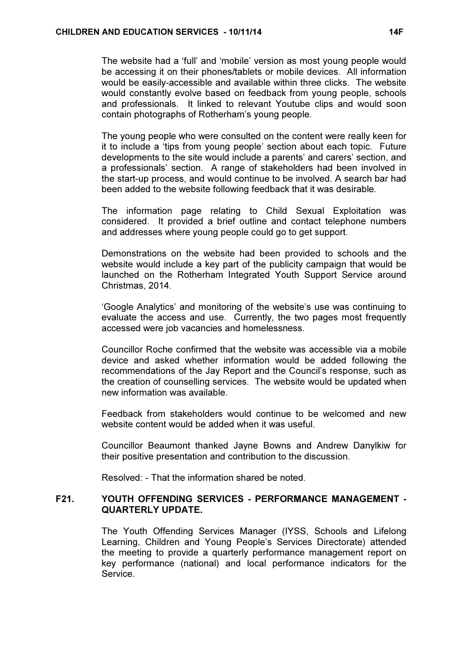The website had a 'full' and 'mobile' version as most young people would be accessing it on their phones/tablets or mobile devices. All information would be easily-accessible and available within three clicks. The website would constantly evolve based on feedback from young people, schools and professionals. It linked to relevant Youtube clips and would soon contain photographs of Rotherham's young people.

The young people who were consulted on the content were really keen for it to include a 'tips from young people' section about each topic. Future developments to the site would include a parents' and carers' section, and a professionals' section. A range of stakeholders had been involved in the start-up process, and would continue to be involved. A search bar had been added to the website following feedback that it was desirable.

The information page relating to Child Sexual Exploitation was considered. It provided a brief outline and contact telephone numbers and addresses where young people could go to get support.

Demonstrations on the website had been provided to schools and the website would include a key part of the publicity campaign that would be launched on the Rotherham Integrated Youth Support Service around Christmas, 2014.

'Google Analytics' and monitoring of the website's use was continuing to evaluate the access and use. Currently, the two pages most frequently accessed were job vacancies and homelessness.

Councillor Roche confirmed that the website was accessible via a mobile device and asked whether information would be added following the recommendations of the Jay Report and the Council's response, such as the creation of counselling services. The website would be updated when new information was available.

Feedback from stakeholders would continue to be welcomed and new website content would be added when it was useful.

Councillor Beaumont thanked Jayne Bowns and Andrew Danylkiw for their positive presentation and contribution to the discussion.

Resolved: - That the information shared be noted.

## F21. YOUTH OFFENDING SERVICES - PERFORMANCE MANAGEMENT - QUARTERLY UPDATE.

 The Youth Offending Services Manager (IYSS, Schools and Lifelong Learning, Children and Young People's Services Directorate) attended the meeting to provide a quarterly performance management report on key performance (national) and local performance indicators for the Service.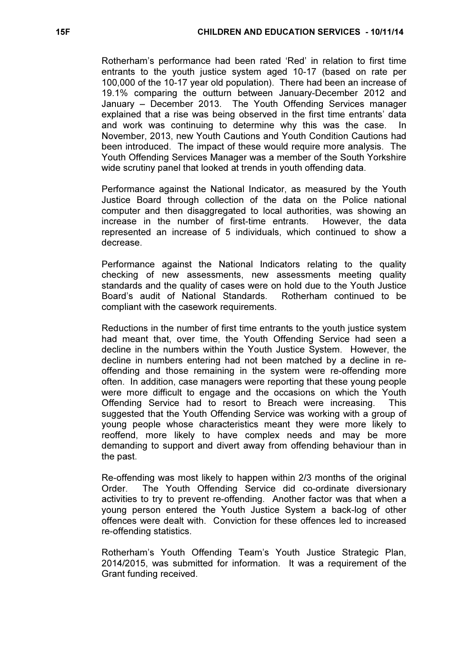Rotherham's performance had been rated 'Red' in relation to first time entrants to the youth justice system aged 10-17 (based on rate per 100,000 of the 10-17 year old population). There had been an increase of 19.1% comparing the outturn between January-December 2012 and January – December 2013. The Youth Offending Services manager explained that a rise was being observed in the first time entrants' data and work was continuing to determine why this was the case. In November, 2013, new Youth Cautions and Youth Condition Cautions had been introduced. The impact of these would require more analysis. The Youth Offending Services Manager was a member of the South Yorkshire wide scrutiny panel that looked at trends in youth offending data.

Performance against the National Indicator, as measured by the Youth Justice Board through collection of the data on the Police national computer and then disaggregated to local authorities, was showing an increase in the number of first-time entrants. However, the data represented an increase of 5 individuals, which continued to show a decrease.

Performance against the National Indicators relating to the quality checking of new assessments, new assessments meeting quality standards and the quality of cases were on hold due to the Youth Justice Board's audit of National Standards. Rotherham continued to be compliant with the casework requirements.

Reductions in the number of first time entrants to the youth justice system had meant that, over time, the Youth Offending Service had seen a decline in the numbers within the Youth Justice System. However, the decline in numbers entering had not been matched by a decline in reoffending and those remaining in the system were re-offending more often. In addition, case managers were reporting that these young people were more difficult to engage and the occasions on which the Youth Offending Service had to resort to Breach were increasing. This suggested that the Youth Offending Service was working with a group of young people whose characteristics meant they were more likely to reoffend, more likely to have complex needs and may be more demanding to support and divert away from offending behaviour than in the past.

Re-offending was most likely to happen within 2/3 months of the original Order. The Youth Offending Service did co-ordinate diversionary activities to try to prevent re-offending. Another factor was that when a young person entered the Youth Justice System a back-log of other offences were dealt with. Conviction for these offences led to increased re-offending statistics.

Rotherham's Youth Offending Team's Youth Justice Strategic Plan, 2014/2015, was submitted for information. It was a requirement of the Grant funding received.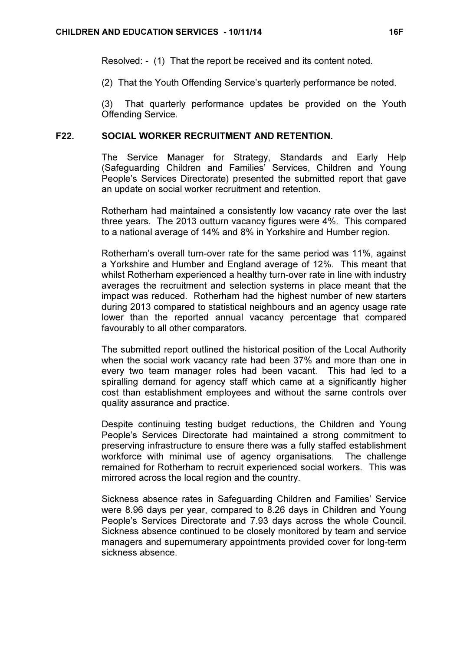Resolved: - (1) That the report be received and its content noted.

(2) That the Youth Offending Service's quarterly performance be noted.

(3) That quarterly performance updates be provided on the Youth Offending Service.

### F22. SOCIAL WORKER RECRUITMENT AND RETENTION.

 The Service Manager for Strategy, Standards and Early Help (Safeguarding Children and Families' Services, Children and Young People's Services Directorate) presented the submitted report that gave an update on social worker recruitment and retention.

Rotherham had maintained a consistently low vacancy rate over the last three years. The 2013 outturn vacancy figures were 4%. This compared to a national average of 14% and 8% in Yorkshire and Humber region.

Rotherham's overall turn-over rate for the same period was 11%, against a Yorkshire and Humber and England average of 12%. This meant that whilst Rotherham experienced a healthy turn-over rate in line with industry averages the recruitment and selection systems in place meant that the impact was reduced. Rotherham had the highest number of new starters during 2013 compared to statistical neighbours and an agency usage rate lower than the reported annual vacancy percentage that compared favourably to all other comparators.

The submitted report outlined the historical position of the Local Authority when the social work vacancy rate had been 37% and more than one in every two team manager roles had been vacant. This had led to a spiralling demand for agency staff which came at a significantly higher cost than establishment employees and without the same controls over quality assurance and practice.

Despite continuing testing budget reductions, the Children and Young People's Services Directorate had maintained a strong commitment to preserving infrastructure to ensure there was a fully staffed establishment workforce with minimal use of agency organisations. The challenge remained for Rotherham to recruit experienced social workers. This was mirrored across the local region and the country.

Sickness absence rates in Safeguarding Children and Families' Service were 8.96 days per year, compared to 8.26 days in Children and Young People's Services Directorate and 7.93 days across the whole Council. Sickness absence continued to be closely monitored by team and service managers and supernumerary appointments provided cover for long-term sickness absence.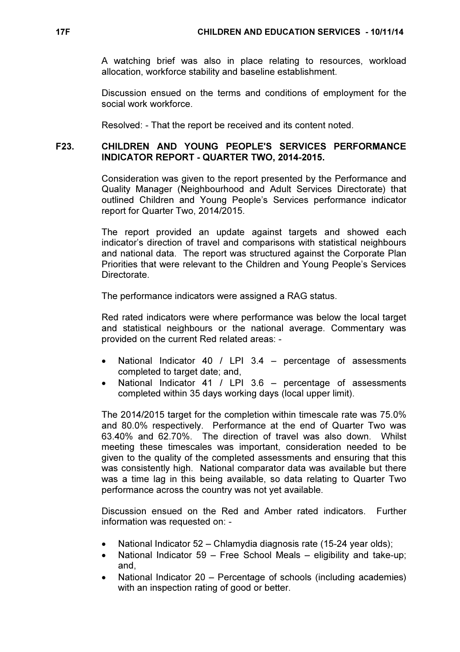A watching brief was also in place relating to resources, workload allocation, workforce stability and baseline establishment.

Discussion ensued on the terms and conditions of employment for the social work workforce.

Resolved: - That the report be received and its content noted.

## F23. CHILDREN AND YOUNG PEOPLE'S SERVICES PERFORMANCE INDICATOR REPORT - QUARTER TWO, 2014-2015.

 Consideration was given to the report presented by the Performance and Quality Manager (Neighbourhood and Adult Services Directorate) that outlined Children and Young People's Services performance indicator report for Quarter Two, 2014/2015.

The report provided an update against targets and showed each indicator's direction of travel and comparisons with statistical neighbours and national data. The report was structured against the Corporate Plan Priorities that were relevant to the Children and Young People's Services Directorate.

The performance indicators were assigned a RAG status.

Red rated indicators were where performance was below the local target and statistical neighbours or the national average. Commentary was provided on the current Red related areas: -

- National Indicator 40 / LPI 3.4 percentage of assessments completed to target date; and,
- National Indicator 41 / LPI 3.6 percentage of assessments completed within 35 days working days (local upper limit).

The 2014/2015 target for the completion within timescale rate was 75.0% and 80.0% respectively. Performance at the end of Quarter Two was 63.40% and 62.70%. The direction of travel was also down. Whilst meeting these timescales was important, consideration needed to be given to the quality of the completed assessments and ensuring that this was consistently high. National comparator data was available but there was a time lag in this being available, so data relating to Quarter Two performance across the country was not yet available.

Discussion ensued on the Red and Amber rated indicators. Further information was requested on: -

- National Indicator 52 Chlamydia diagnosis rate (15-24 year olds);
- National Indicator 59 Free School Meals eligibility and take-up; and,
- National Indicator 20 Percentage of schools (including academies) with an inspection rating of good or better.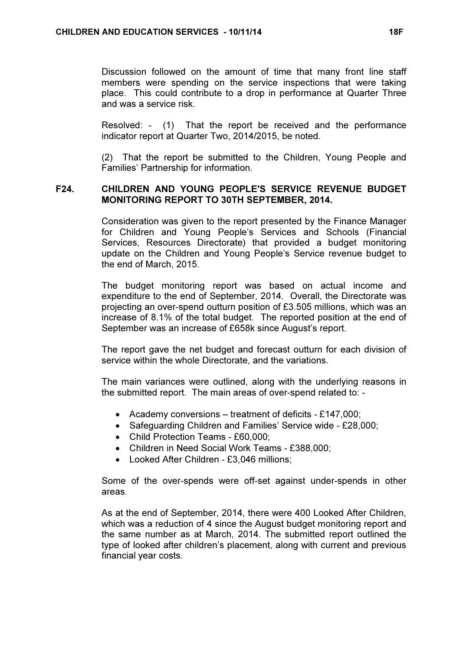Discussion followed on the amount of time that many front line staff members were spending on the service inspections that were taking place. This could contribute to a drop in performance at Quarter Three and was a service risk.

Resolved: - (1) That the report be received and the performance indicator report at Quarter Two, 2014/2015, be noted.

(2) That the report be submitted to the Children, Young People and Families' Partnership for information.

#### F24. CHILDREN AND YOUNG PEOPLE'S SERVICE REVENUE BUDGET MONITORING REPORT TO 30TH SEPTEMBER, 2014.

 Consideration was given to the report presented by the Finance Manager for Children and Young People's Services and Schools (Financial Services, Resources Directorate) that provided a budget monitoring update on the Children and Young People's Service revenue budget to the end of March, 2015.

The budget monitoring report was based on actual income and expenditure to the end of September, 2014. Overall, the Directorate was projecting an over-spend outturn position of £3.505 millions, which was an increase of 8.1% of the total budget. The reported position at the end of September was an increase of £658k since August's report.

The report gave the net budget and forecast outturn for each division of service within the whole Directorate, and the variations.

The main variances were outlined, along with the underlying reasons in the submitted report. The main areas of over-spend related to: -

- Academy conversions treatment of deficits £147,000;
- Safeguarding Children and Families' Service wide £28,000;
- Child Protection Teams £60,000;
- Children in Need Social Work Teams £388,000;
- Looked After Children £3,046 millions;

Some of the over-spends were off-set against under-spends in other areas.

As at the end of September, 2014, there were 400 Looked After Children, which was a reduction of 4 since the August budget monitoring report and the same number as at March, 2014. The submitted report outlined the type of looked after children's placement, along with current and previous financial year costs.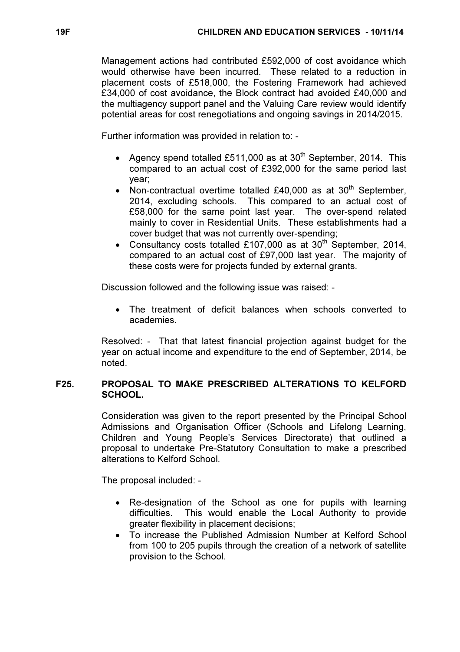Management actions had contributed £592,000 of cost avoidance which would otherwise have been incurred. These related to a reduction in placement costs of £518,000, the Fostering Framework had achieved £34,000 of cost avoidance, the Block contract had avoided £40,000 and the multiagency support panel and the Valuing Care review would identify potential areas for cost renegotiations and ongoing savings in 2014/2015.

Further information was provided in relation to: -

- Agency spend totalled £511,000 as at 30<sup>th</sup> September, 2014. This compared to an actual cost of £392,000 for the same period last year;
- Non-contractual overtime totalled £40,000 as at  $30<sup>th</sup>$  September, 2014, excluding schools. This compared to an actual cost of £58,000 for the same point last year. The over-spend related mainly to cover in Residential Units. These establishments had a cover budget that was not currently over-spending;
- Consultancy costs totalled £107,000 as at 30<sup>th</sup> September, 2014, compared to an actual cost of £97,000 last year. The majority of these costs were for projects funded by external grants.

Discussion followed and the following issue was raised: -

The treatment of deficit balances when schools converted to academies.

Resolved: - That that latest financial projection against budget for the year on actual income and expenditure to the end of September, 2014, be noted.

# F25. PROPOSAL TO MAKE PRESCRIBED ALTERATIONS TO KELFORD SCHOOL.

 Consideration was given to the report presented by the Principal School Admissions and Organisation Officer (Schools and Lifelong Learning, Children and Young People's Services Directorate) that outlined a proposal to undertake Pre-Statutory Consultation to make a prescribed alterations to Kelford School.

The proposal included: -

- Re-designation of the School as one for pupils with learning difficulties. This would enable the Local Authority to provide greater flexibility in placement decisions;
- To increase the Published Admission Number at Kelford School from 100 to 205 pupils through the creation of a network of satellite provision to the School.